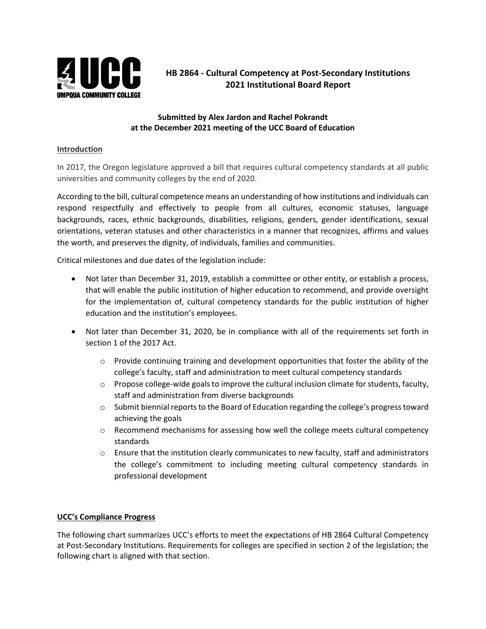

# **HB 2864 - Cultural Competency at Post-Secondary Institutions 2021 Institutional Board Report**

## **Submitted by Alex Jardon and Rachel Pokrandt at the December 2021 meeting of the UCC Board of Education**

### **Introduction**

In 2017, the Oregon legislature approved a bill that requires cultural competency standards at all public universities and community colleges by the end of 2020.

According to the bill, cultural competence means an understanding of how institutions and individuals can respond respectfully and effectively to people from all cultures, economic statuses, language backgrounds, races, ethnic backgrounds, disabilities, religions, genders, gender identifications, sexual orientations, veteran statuses and other characteristics in a manner that recognizes, affirms and values the worth, and preserves the dignity, of individuals, families and communities.

Critical milestones and due dates of the legislation include:

- Not later than December 31, 2019, establish a committee or other entity, or establish a process, that will enable the public institution of higher education to recommend, and provide oversight for the implementation of, cultural competency standards for the public institution of higher education and the institution's employees.
- Not later than December 31, 2020, be in compliance with all of the requirements set forth in section 1 of the 2017 Act.
	- o Provide continuing training and development opportunities that foster the ability of the college's faculty, staff and administration to meet cultural competency standards
	- $\circ$  Propose college-wide goals to improve the cultural inclusion climate for students, faculty, staff and administration from diverse backgrounds
	- $\circ$  Submit biennial reports to the Board of Education regarding the college's progress toward achieving the goals
	- $\circ$  Recommend mechanisms for assessing how well the college meets cultural competency standards
	- $\circ$  Ensure that the institution clearly communicates to new faculty, staff and administrators the college's commitment to including meeting cultural competency standards in professional development

#### **UCC's Compliance Progress**

The following chart summarizes UCC's efforts to meet the expectations of HB 2864 Cultural Competency at Post-Secondary Institutions. Requirements for colleges are specified in section 2 of the legislation; the following chart is aligned with that section.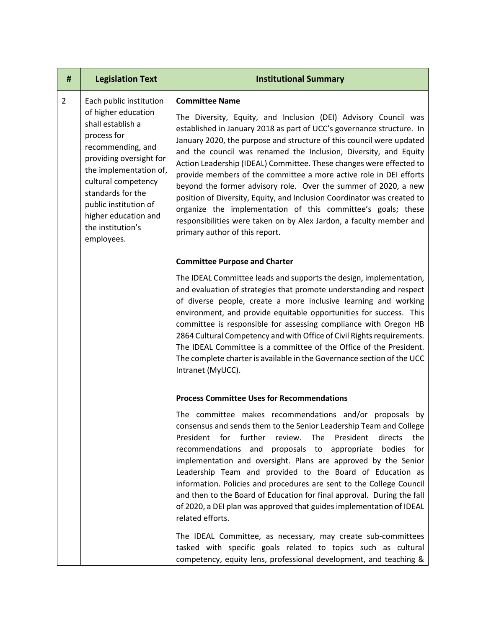### **# Legislation Text Institutional Summary**

## 2 | Each public institution of higher education shall establish a process for recommending, and providing oversight for the implementation of, cultural competency standards for the public institution of higher education and the institution's employees.

#### **Committee Name**

The Diversity, Equity, and Inclusion (DEI) Advisory Council was established in January 2018 as part of UCC's governance structure. In January 2020, the purpose and structure of this council were updated and the council was renamed the Inclusion, Diversity, and Equity Action Leadership (IDEAL) Committee. These changes were effected to provide members of the committee a more active role in DEI efforts beyond the former advisory role. Over the summer of 2020, a new position of Diversity, Equity, and Inclusion Coordinator was created to organize the implementation of this committee's goals; these responsibilities were taken on by Alex Jardon, a faculty member and primary author of this report.

### **Committee Purpose and Charter**

The IDEAL Committee leads and supports the design, implementation, and evaluation of strategies that promote understanding and respect of diverse people, create a more inclusive learning and working environment, and provide equitable opportunities for success. This committee is responsible for assessing compliance with Oregon HB 2864 Cultural Competency and with Office of Civil Rights requirements. The IDEAL Committee is a committee of the Office of the President. The complete charter is available in the Governance section of the UCC Intranet (MyUCC).

#### **Process Committee Uses for Recommendations**

The committee makes recommendations and/or proposals by consensus and sends them to the Senior Leadership Team and College President for further review. The President directs the recommendations and proposals to appropriate bodies for implementation and oversight. Plans are approved by the Senior Leadership Team and provided to the Board of Education as information. Policies and procedures are sent to the College Council and then to the Board of Education for final approval. During the fall of 2020, a DEI plan was approved that guides implementation of IDEAL related efforts.

The IDEAL Committee, as necessary, may create sub-committees tasked with specific goals related to topics such as cultural competency, equity lens, professional development, and teaching &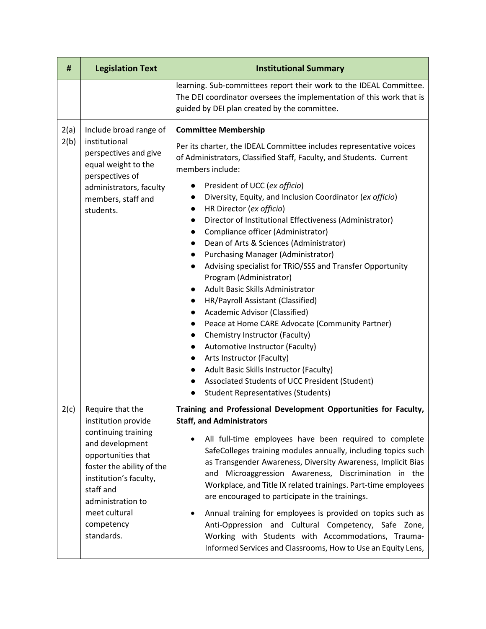| #            | <b>Legislation Text</b>                                                                                                                                                                                                                       | <b>Institutional Summary</b>                                                                                                                                                                                                                                                                                                                                                                                                                                                                                                                                                                                                                                                                                                                                                                                                                                                                                                                                                                                                                                                                                                                                                  |
|--------------|-----------------------------------------------------------------------------------------------------------------------------------------------------------------------------------------------------------------------------------------------|-------------------------------------------------------------------------------------------------------------------------------------------------------------------------------------------------------------------------------------------------------------------------------------------------------------------------------------------------------------------------------------------------------------------------------------------------------------------------------------------------------------------------------------------------------------------------------------------------------------------------------------------------------------------------------------------------------------------------------------------------------------------------------------------------------------------------------------------------------------------------------------------------------------------------------------------------------------------------------------------------------------------------------------------------------------------------------------------------------------------------------------------------------------------------------|
|              |                                                                                                                                                                                                                                               | learning. Sub-committees report their work to the IDEAL Committee.<br>The DEI coordinator oversees the implementation of this work that is<br>guided by DEI plan created by the committee.                                                                                                                                                                                                                                                                                                                                                                                                                                                                                                                                                                                                                                                                                                                                                                                                                                                                                                                                                                                    |
| 2(a)<br>2(b) | Include broad range of<br>institutional<br>perspectives and give<br>equal weight to the<br>perspectives of<br>administrators, faculty<br>members, staff and<br>students.                                                                      | <b>Committee Membership</b><br>Per its charter, the IDEAL Committee includes representative voices<br>of Administrators, Classified Staff, Faculty, and Students. Current<br>members include:<br>President of UCC (ex officio)<br>$\bullet$<br>Diversity, Equity, and Inclusion Coordinator (ex officio)<br>HR Director (ex officio)<br>$\bullet$<br>Director of Institutional Effectiveness (Administrator)<br>$\bullet$<br>Compliance officer (Administrator)<br>$\bullet$<br>Dean of Arts & Sciences (Administrator)<br>$\bullet$<br><b>Purchasing Manager (Administrator)</b><br>Advising specialist for TRIO/SSS and Transfer Opportunity<br>$\bullet$<br>Program (Administrator)<br>Adult Basic Skills Administrator<br>$\bullet$<br>HR/Payroll Assistant (Classified)<br>$\bullet$<br>Academic Advisor (Classified)<br>Peace at Home CARE Advocate (Community Partner)<br>Chemistry Instructor (Faculty)<br>$\bullet$<br>Automotive Instructor (Faculty)<br>$\bullet$<br>Arts Instructor (Faculty)<br>$\bullet$<br>Adult Basic Skills Instructor (Faculty)<br>$\bullet$<br>Associated Students of UCC President (Student)<br><b>Student Representatives (Students)</b> |
| 2(c)         | Require that the<br>institution provide<br>continuing training<br>and development<br>opportunities that<br>foster the ability of the<br>institution's faculty,<br>staff and<br>administration to<br>meet cultural<br>competency<br>standards. | Training and Professional Development Opportunities for Faculty,<br><b>Staff, and Administrators</b><br>All full-time employees have been required to complete<br>SafeColleges training modules annually, including topics such<br>as Transgender Awareness, Diversity Awareness, Implicit Bias<br>and Microaggression Awareness, Discrimination in the<br>Workplace, and Title IX related trainings. Part-time employees<br>are encouraged to participate in the trainings.<br>Annual training for employees is provided on topics such as<br>Anti-Oppression and Cultural Competency, Safe Zone,<br>Working with Students with Accommodations, Trauma-<br>Informed Services and Classrooms, How to Use an Equity Lens,                                                                                                                                                                                                                                                                                                                                                                                                                                                      |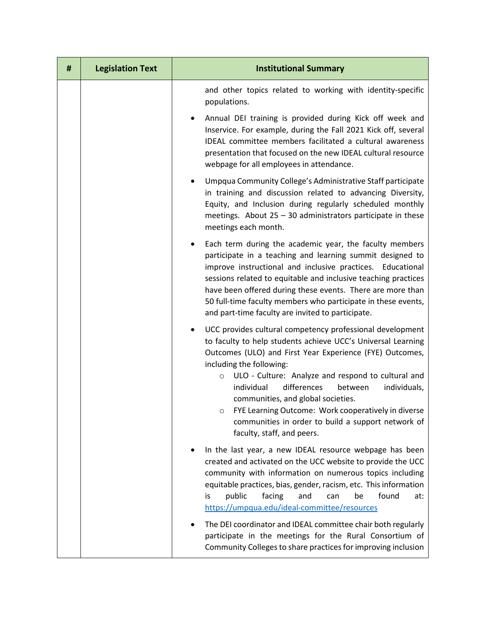| # | <b>Legislation Text</b> | <b>Institutional Summary</b>                                                                                                                                                                                                                                                                                                                                                                                                                                                                                                     |
|---|-------------------------|----------------------------------------------------------------------------------------------------------------------------------------------------------------------------------------------------------------------------------------------------------------------------------------------------------------------------------------------------------------------------------------------------------------------------------------------------------------------------------------------------------------------------------|
|   |                         | and other topics related to working with identity-specific<br>populations.                                                                                                                                                                                                                                                                                                                                                                                                                                                       |
|   |                         | Annual DEI training is provided during Kick off week and<br>Inservice. For example, during the Fall 2021 Kick off, several<br>IDEAL committee members facilitated a cultural awareness<br>presentation that focused on the new IDEAL cultural resource<br>webpage for all employees in attendance.                                                                                                                                                                                                                               |
|   |                         | Umpqua Community College's Administrative Staff participate<br>in training and discussion related to advancing Diversity,<br>Equity, and Inclusion during regularly scheduled monthly<br>meetings. About $25 - 30$ administrators participate in these<br>meetings each month.                                                                                                                                                                                                                                                   |
|   |                         | Each term during the academic year, the faculty members<br>٠<br>participate in a teaching and learning summit designed to<br>improve instructional and inclusive practices. Educational<br>sessions related to equitable and inclusive teaching practices<br>have been offered during these events. There are more than<br>50 full-time faculty members who participate in these events,<br>and part-time faculty are invited to participate.                                                                                    |
|   |                         | UCC provides cultural competency professional development<br>to faculty to help students achieve UCC's Universal Learning<br>Outcomes (ULO) and First Year Experience (FYE) Outcomes,<br>including the following:<br>ULO - Culture: Analyze and respond to cultural and<br>$\circ$<br>differences<br>individual<br>individuals,<br>between<br>communities, and global societies.<br>FYE Learning Outcome: Work cooperatively in diverse<br>O<br>communities in order to build a support network of<br>faculty, staff, and peers. |
|   |                         | In the last year, a new IDEAL resource webpage has been<br>created and activated on the UCC website to provide the UCC<br>community with information on numerous topics including<br>equitable practices, bias, gender, racism, etc. This information<br>public<br>found<br>facing<br>and<br>be<br>is<br>can<br>at:<br>https://umpqua.edu/ideal-committee/resources                                                                                                                                                              |
|   |                         | The DEI coordinator and IDEAL committee chair both regularly<br>participate in the meetings for the Rural Consortium of<br>Community Colleges to share practices for improving inclusion                                                                                                                                                                                                                                                                                                                                         |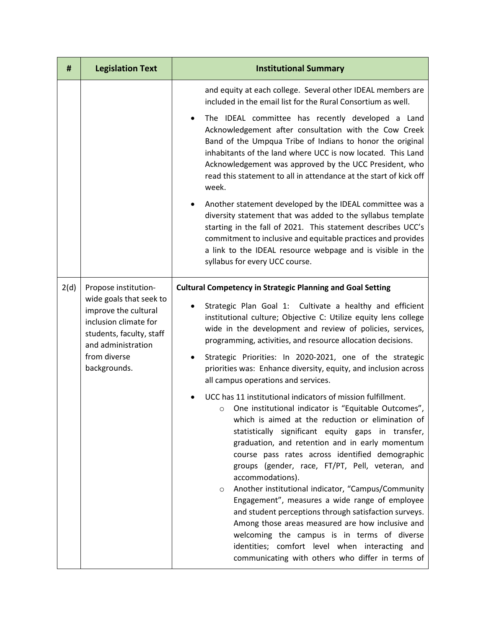| #    | <b>Legislation Text</b>                                                                                                                                                            | <b>Institutional Summary</b>                                                                                                                                                                                                                                                                                                                                                                                                                                                                                                                                                                                                                                                                                                                                                                                |
|------|------------------------------------------------------------------------------------------------------------------------------------------------------------------------------------|-------------------------------------------------------------------------------------------------------------------------------------------------------------------------------------------------------------------------------------------------------------------------------------------------------------------------------------------------------------------------------------------------------------------------------------------------------------------------------------------------------------------------------------------------------------------------------------------------------------------------------------------------------------------------------------------------------------------------------------------------------------------------------------------------------------|
|      |                                                                                                                                                                                    | and equity at each college. Several other IDEAL members are<br>included in the email list for the Rural Consortium as well.<br>The IDEAL committee has recently developed a Land<br>Acknowledgement after consultation with the Cow Creek<br>Band of the Umpqua Tribe of Indians to honor the original<br>inhabitants of the land where UCC is now located. This Land<br>Acknowledgement was approved by the UCC President, who<br>read this statement to all in attendance at the start of kick off<br>week.                                                                                                                                                                                                                                                                                               |
|      |                                                                                                                                                                                    | Another statement developed by the IDEAL committee was a<br>diversity statement that was added to the syllabus template<br>starting in the fall of 2021. This statement describes UCC's<br>commitment to inclusive and equitable practices and provides<br>a link to the IDEAL resource webpage and is visible in the<br>syllabus for every UCC course.                                                                                                                                                                                                                                                                                                                                                                                                                                                     |
| 2(d) | Propose institution-<br>wide goals that seek to<br>improve the cultural<br>inclusion climate for<br>students, faculty, staff<br>and administration<br>from diverse<br>backgrounds. | <b>Cultural Competency in Strategic Planning and Goal Setting</b><br>Strategic Plan Goal 1: Cultivate a healthy and efficient<br>institutional culture; Objective C: Utilize equity lens college<br>wide in the development and review of policies, services,<br>programming, activities, and resource allocation decisions.<br>Strategic Priorities: In 2020-2021, one of the strategic<br>٠<br>priorities was: Enhance diversity, equity, and inclusion across<br>all campus operations and services.                                                                                                                                                                                                                                                                                                     |
|      |                                                                                                                                                                                    | UCC has 11 institutional indicators of mission fulfillment.<br>One institutional indicator is "Equitable Outcomes",<br>$\circ$<br>which is aimed at the reduction or elimination of<br>statistically significant equity gaps in transfer,<br>graduation, and retention and in early momentum<br>course pass rates across identified demographic<br>groups (gender, race, FT/PT, Pell, veteran, and<br>accommodations).<br>Another institutional indicator, "Campus/Community<br>$\circ$<br>Engagement", measures a wide range of employee<br>and student perceptions through satisfaction surveys.<br>Among those areas measured are how inclusive and<br>welcoming the campus is in terms of diverse<br>identities; comfort level when interacting and<br>communicating with others who differ in terms of |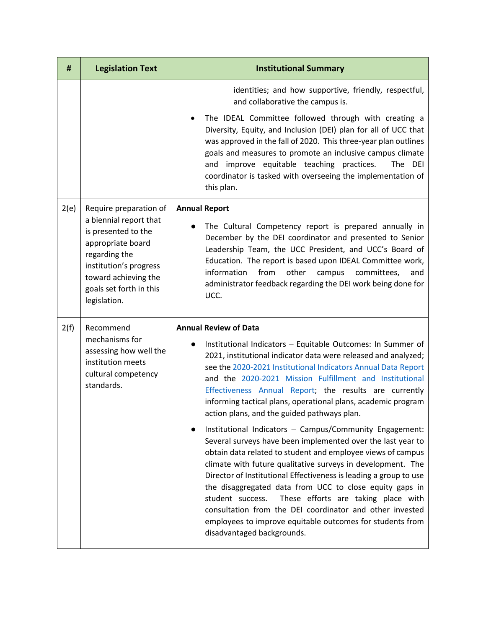| #    | <b>Legislation Text</b>                                                                                                                                                                                    | <b>Institutional Summary</b>                                                                                                                                                                                                                                                                                                                                                                                                                                                                                                                                                                           |
|------|------------------------------------------------------------------------------------------------------------------------------------------------------------------------------------------------------------|--------------------------------------------------------------------------------------------------------------------------------------------------------------------------------------------------------------------------------------------------------------------------------------------------------------------------------------------------------------------------------------------------------------------------------------------------------------------------------------------------------------------------------------------------------------------------------------------------------|
|      |                                                                                                                                                                                                            | identities; and how supportive, friendly, respectful,<br>and collaborative the campus is.                                                                                                                                                                                                                                                                                                                                                                                                                                                                                                              |
|      |                                                                                                                                                                                                            | The IDEAL Committee followed through with creating a<br>Diversity, Equity, and Inclusion (DEI) plan for all of UCC that<br>was approved in the fall of 2020. This three-year plan outlines<br>goals and measures to promote an inclusive campus climate<br>and improve equitable teaching practices.<br>The<br>DEI<br>coordinator is tasked with overseeing the implementation of<br>this plan.                                                                                                                                                                                                        |
| 2(e) | Require preparation of<br>a biennial report that<br>is presented to the<br>appropriate board<br>regarding the<br>institution's progress<br>toward achieving the<br>goals set forth in this<br>legislation. | <b>Annual Report</b><br>The Cultural Competency report is prepared annually in<br>December by the DEI coordinator and presented to Senior<br>Leadership Team, the UCC President, and UCC's Board of<br>Education. The report is based upon IDEAL Committee work,<br>information<br>from<br>other<br>campus<br>committees,<br>and<br>administrator feedback regarding the DEI work being done for<br>UCC.                                                                                                                                                                                               |
| 2(f) | Recommend                                                                                                                                                                                                  | <b>Annual Review of Data</b>                                                                                                                                                                                                                                                                                                                                                                                                                                                                                                                                                                           |
|      | mechanisms for<br>assessing how well the<br>institution meets<br>cultural competency<br>standards.                                                                                                         | Institutional Indicators - Equitable Outcomes: In Summer of<br>2021, institutional indicator data were released and analyzed;<br>see the 2020-2021 Institutional Indicators Annual Data Report<br>and the 2020-2021 Mission Fulfillment and Institutional<br>Effectiveness Annual Report; the results are currently<br>informing tactical plans, operational plans, academic program<br>action plans, and the guided pathways plan.                                                                                                                                                                    |
|      |                                                                                                                                                                                                            | Institutional Indicators - Campus/Community Engagement:<br>Several surveys have been implemented over the last year to<br>obtain data related to student and employee views of campus<br>climate with future qualitative surveys in development. The<br>Director of Institutional Effectiveness is leading a group to use<br>the disaggregated data from UCC to close equity gaps in<br>student success.<br>These efforts are taking place with<br>consultation from the DEI coordinator and other invested<br>employees to improve equitable outcomes for students from<br>disadvantaged backgrounds. |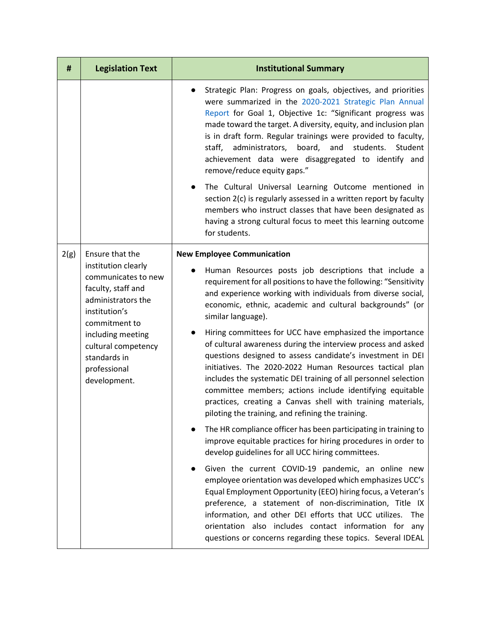| #    | <b>Legislation Text</b>                                                                                                                                                                                                                 | <b>Institutional Summary</b>                                                                                                                                                                                                                                                                                                                                                                                                                                                                                                                                                                                                                                                                                                                                                                                               |
|------|-----------------------------------------------------------------------------------------------------------------------------------------------------------------------------------------------------------------------------------------|----------------------------------------------------------------------------------------------------------------------------------------------------------------------------------------------------------------------------------------------------------------------------------------------------------------------------------------------------------------------------------------------------------------------------------------------------------------------------------------------------------------------------------------------------------------------------------------------------------------------------------------------------------------------------------------------------------------------------------------------------------------------------------------------------------------------------|
|      |                                                                                                                                                                                                                                         | Strategic Plan: Progress on goals, objectives, and priorities<br>were summarized in the 2020-2021 Strategic Plan Annual<br>Report for Goal 1, Objective 1c: "Significant progress was<br>made toward the target. A diversity, equity, and inclusion plan<br>is in draft form. Regular trainings were provided to faculty,<br>administrators, board, and<br>students.<br>staff,<br>Student<br>achievement data were disaggregated to identify and<br>remove/reduce equity gaps."<br>The Cultural Universal Learning Outcome mentioned in<br>section 2(c) is regularly assessed in a written report by faculty<br>members who instruct classes that have been designated as<br>having a strong cultural focus to meet this learning outcome<br>for students.                                                                 |
| 2(g) | Ensure that the<br>institution clearly<br>communicates to new<br>faculty, staff and<br>administrators the<br>institution's<br>commitment to<br>including meeting<br>cultural competency<br>standards in<br>professional<br>development. | <b>New Employee Communication</b><br>Human Resources posts job descriptions that include a<br>requirement for all positions to have the following: "Sensitivity<br>and experience working with individuals from diverse social,<br>economic, ethnic, academic and cultural backgrounds" (or<br>similar language).<br>Hiring committees for UCC have emphasized the importance<br>of cultural awareness during the interview process and asked<br>questions designed to assess candidate's investment in DEI<br>initiatives. The 2020-2022 Human Resources tactical plan<br>includes the systematic DEI training of all personnel selection<br>committee members; actions include identifying equitable<br>practices, creating a Canvas shell with training materials,<br>piloting the training, and refining the training. |
|      |                                                                                                                                                                                                                                         | The HR compliance officer has been participating in training to<br>improve equitable practices for hiring procedures in order to<br>develop guidelines for all UCC hiring committees.                                                                                                                                                                                                                                                                                                                                                                                                                                                                                                                                                                                                                                      |
|      |                                                                                                                                                                                                                                         | Given the current COVID-19 pandemic, an online new<br>employee orientation was developed which emphasizes UCC's<br>Equal Employment Opportunity (EEO) hiring focus, a Veteran's<br>preference, a statement of non-discrimination, Title IX<br>information, and other DEI efforts that UCC utilizes.<br>The<br>orientation also includes contact information for any<br>questions or concerns regarding these topics. Several IDEAL                                                                                                                                                                                                                                                                                                                                                                                         |